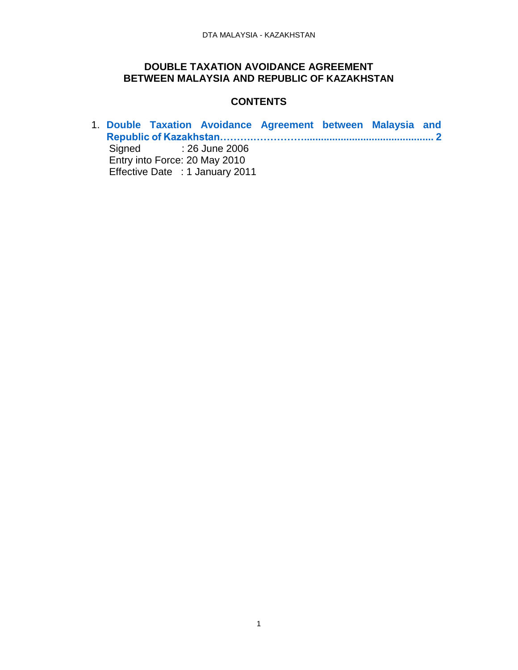### **DOUBLE TAXATION AVOIDANCE AGREEMENT BETWEEN MALAYSIA AND REPUBLIC OF KAZAKHSTAN**

### <span id="page-0-0"></span>**CONTENTS**

1. **[Double Taxation Avoidance Agreement between Malaysia and](#page-0-0)  [Republic of Kazakhstan……….……………..............................................](#page-0-0) 2** Signed : 26 June 2006 Entry into Force: 20 May 2010 Effective Date : 1 January 2011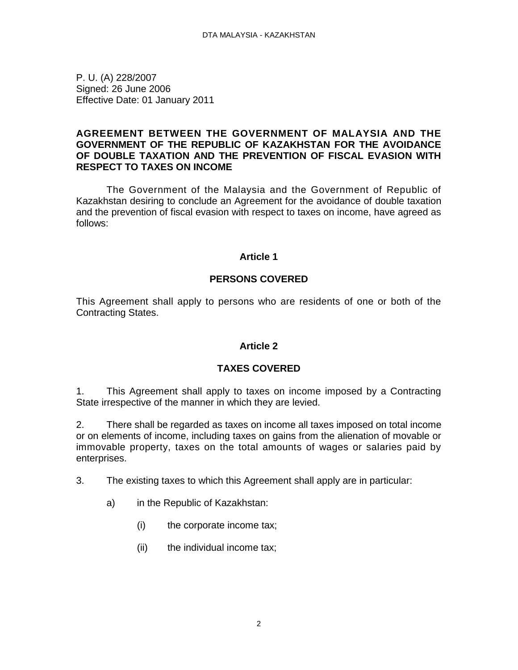P. U. (A) 228/2007 Signed: 26 June 2006 Effective Date: 01 January 2011

#### **AGREEMENT BETWEEN THE GOVERNMENT OF MALAYSIA AND THE GOVERNMENT OF THE REPUBLIC OF KAZAKHSTAN FOR THE AVOIDANCE OF DOUBLE TAXATION AND THE PREVENTION OF FISCAL EVASION WITH RESPECT TO TAXES ON INCOME**

The Government of the Malaysia and the Government of Republic of Kazakhstan desiring to conclude an Agreement for the avoidance of double taxation and the prevention of fiscal evasion with respect to taxes on income, have agreed as follows:

#### **Article 1**

#### **PERSONS COVERED**

This Agreement shall apply to persons who are residents of one or both of the Contracting States.

#### **Article 2**

#### **TAXES COVERED**

1. This Agreement shall apply to taxes on income imposed by a Contracting State irrespective of the manner in which they are levied.

2. There shall be regarded as taxes on income all taxes imposed on total income or on elements of income, including taxes on gains from the alienation of movable or immovable property, taxes on the total amounts of wages or salaries paid by enterprises.

- 3. The existing taxes to which this Agreement shall apply are in particular:
	- a) in the Republic of Kazakhstan:
		- (i) the corporate income tax;
		- (ii) the individual income tax;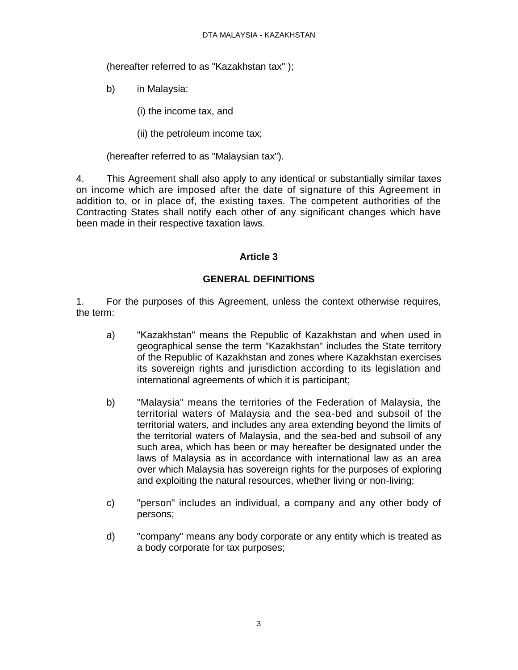(hereafter referred to as "Kazakhstan tax" );

- b) in Malaysia:
	- (i) the income tax, and
	- (ii) the petroleum income tax;

(hereafter referred to as "Malaysian tax").

4. This Agreement shall also apply to any identical or substantially similar taxes on income which are imposed after the date of signature of this Agreement in addition to, or in place of, the existing taxes. The competent authorities of the Contracting States shall notify each other of any significant changes which have been made in their respective taxation laws.

# **Article 3**

# **GENERAL DEFINITIONS**

1. For the purposes of this Agreement, unless the context otherwise requires, the term:

- a) "Kazakhstan" means the Republic of Kazakhstan and when used in geographical sense the term "Kazakhstan" includes the State territory of the Republic of Kazakhstan and zones where Kazakhstan exercises its sovereign rights and jurisdiction according to its legislation and international agreements of which it is participant;
- b) "Malaysia" means the territories of the Federation of Malaysia, the territorial waters of Malaysia and the sea-bed and subsoil of the territorial waters, and includes any area extending beyond the limits of the territorial waters of Malaysia, and the sea-bed and subsoil of any such area, which has been or may hereafter be designated under the laws of Malaysia as in accordance with international law as an area over which Malaysia has sovereign rights for the purposes of exploring and exploiting the natural resources, whether living or non-living;
- c) "person" includes an individual, a company and any other body of persons;
- d) "company" means any body corporate or any entity which is treated as a body corporate for tax purposes;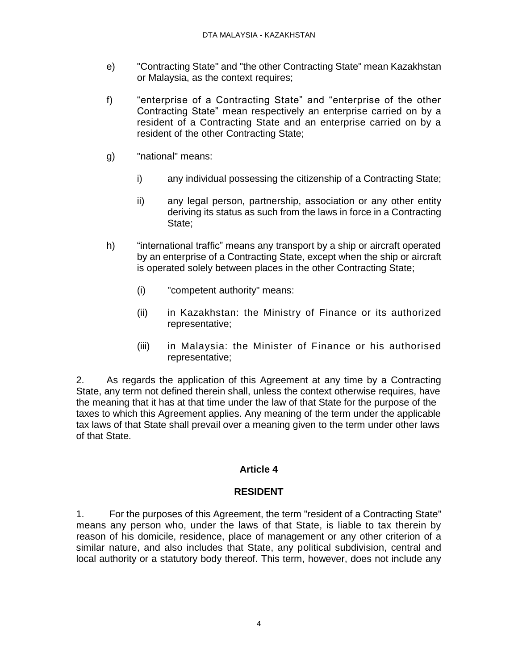- e) "Contracting State" and "the other Contracting State" mean Kazakhstan or Malaysia, as the context requires;
- f) "enterprise of a Contracting State" and "enterprise of the other Contracting State" mean respectively an enterprise carried on by a resident of a Contracting State and an enterprise carried on by a resident of the other Contracting State;
- g) "national" means:
	- i) any individual possessing the citizenship of a Contracting State;
	- ii) any legal person, partnership, association or any other entity deriving its status as such from the laws in force in a Contracting State;
- h) "international traffic" means any transport by a ship or aircraft operated by an enterprise of a Contracting State, except when the ship or aircraft is operated solely between places in the other Contracting State;
	- (i) "competent authority" means:
	- (ii) in Kazakhstan: the Ministry of Finance or its authorized representative;
	- (iii) in Malaysia: the Minister of Finance or his authorised representative;

2. As regards the application of this Agreement at any time by a Contracting State, any term not defined therein shall, unless the context otherwise requires, have the meaning that it has at that time under the law of that State for the purpose of the taxes to which this Agreement applies. Any meaning of the term under the applicable tax laws of that State shall prevail over a meaning given to the term under other laws of that State.

# **Article 4**

### **RESIDENT**

1. For the purposes of this Agreement, the term "resident of a Contracting State" means any person who, under the laws of that State, is liable to tax therein by reason of his domicile, residence, place of management or any other criterion of a similar nature, and also includes that State, any political subdivision, central and local authority or a statutory body thereof. This term, however, does not include any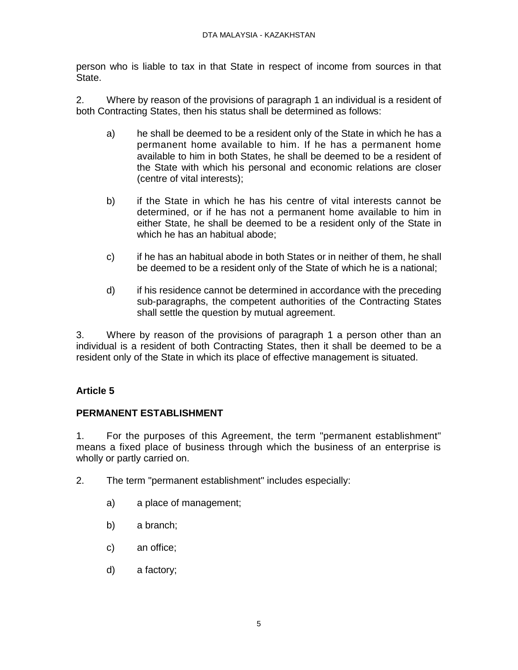person who is liable to tax in that State in respect of income from sources in that State.

2. Where by reason of the provisions of paragraph 1 an individual is a resident of both Contracting States, then his status shall be determined as follows:

- a) he shall be deemed to be a resident only of the State in which he has a permanent home available to him. If he has a permanent home available to him in both States, he shall be deemed to be a resident of the State with which his personal and economic relations are closer (centre of vital interests);
- b) if the State in which he has his centre of vital interests cannot be determined, or if he has not a permanent home available to him in either State, he shall be deemed to be a resident only of the State in which he has an habitual abode;
- c) if he has an habitual abode in both States or in neither of them, he shall be deemed to be a resident only of the State of which he is a national;
- d) if his residence cannot be determined in accordance with the preceding sub-paragraphs, the competent authorities of the Contracting States shall settle the question by mutual agreement.

3. Where by reason of the provisions of paragraph 1 a person other than an individual is a resident of both Contracting States, then it shall be deemed to be a resident only of the State in which its place of effective management is situated.

# **Article 5**

### **PERMANENT ESTABLISHMENT**

1. For the purposes of this Agreement, the term "permanent establishment" means a fixed place of business through which the business of an enterprise is wholly or partly carried on.

- 2. The term "permanent establishment" includes especially:
	- a) a place of management;
	- b) a branch;
	- c) an office;
	- d) a factory;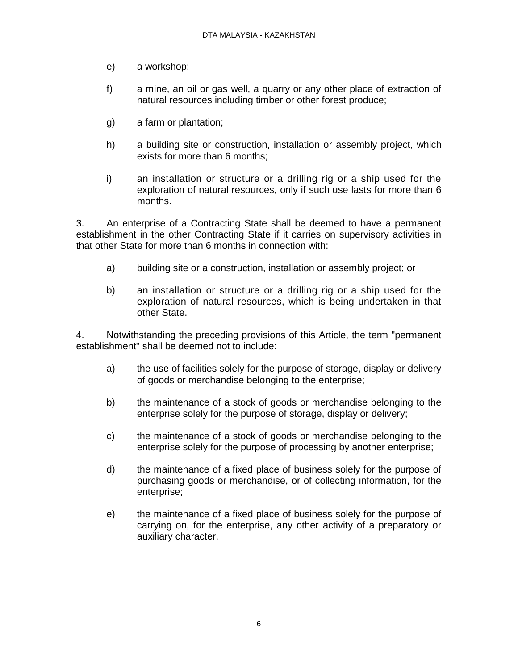- e) a workshop;
- f) a mine, an oil or gas well, a quarry or any other place of extraction of natural resources including timber or other forest produce;
- g) a farm or plantation;
- h) a building site or construction, installation or assembly project, which exists for more than 6 months;
- i) an installation or structure or a drilling rig or a ship used for the exploration of natural resources, only if such use lasts for more than 6 months.

3. An enterprise of a Contracting State shall be deemed to have a permanent establishment in the other Contracting State if it carries on supervisory activities in that other State for more than 6 months in connection with:

- a) building site or a construction, installation or assembly project; or
- b) an installation or structure or a drilling rig or a ship used for the exploration of natural resources, which is being undertaken in that other State.

4. Notwithstanding the preceding provisions of this Article, the term "permanent establishment" shall be deemed not to include:

- a) the use of facilities solely for the purpose of storage, display or delivery of goods or merchandise belonging to the enterprise;
- b) the maintenance of a stock of goods or merchandise belonging to the enterprise solely for the purpose of storage, display or delivery;
- c) the maintenance of a stock of goods or merchandise belonging to the enterprise solely for the purpose of processing by another enterprise;
- d) the maintenance of a fixed place of business solely for the purpose of purchasing goods or merchandise, or of collecting information, for the enterprise;
- e) the maintenance of a fixed place of business solely for the purpose of carrying on, for the enterprise, any other activity of a preparatory or auxiliary character.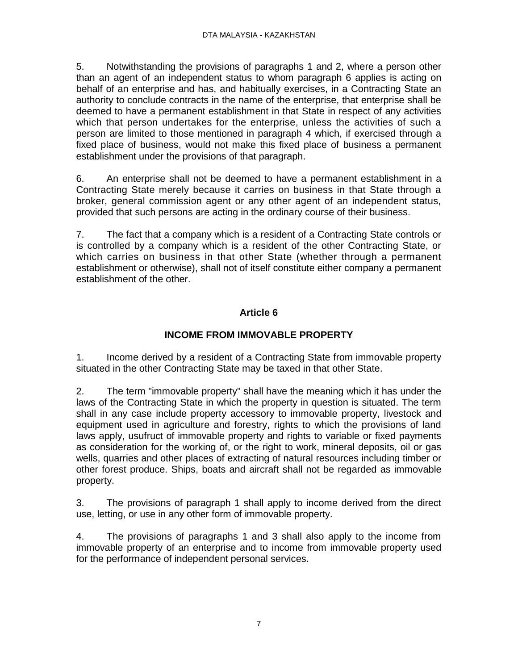5. Notwithstanding the provisions of paragraphs 1 and 2, where a person other than an agent of an independent status to whom paragraph 6 applies is acting on behalf of an enterprise and has, and habitually exercises, in a Contracting State an authority to conclude contracts in the name of the enterprise, that enterprise shall be deemed to have a permanent establishment in that State in respect of any activities which that person undertakes for the enterprise, unless the activities of such a person are limited to those mentioned in paragraph 4 which, if exercised through a fixed place of business, would not make this fixed place of business a permanent establishment under the provisions of that paragraph.

6. An enterprise shall not be deemed to have a permanent establishment in a Contracting State merely because it carries on business in that State through a broker, general commission agent or any other agent of an independent status, provided that such persons are acting in the ordinary course of their business.

7. The fact that a company which is a resident of a Contracting State controls or is controlled by a company which is a resident of the other Contracting State, or which carries on business in that other State (whether through a permanent establishment or otherwise), shall not of itself constitute either company a permanent establishment of the other.

# **Article 6**

# **INCOME FROM IMMOVABLE PROPERTY**

1. Income derived by a resident of a Contracting State from immovable property situated in the other Contracting State may be taxed in that other State.

2. The term "immovable property" shall have the meaning which it has under the laws of the Contracting State in which the property in question is situated. The term shall in any case include property accessory to immovable property, livestock and equipment used in agriculture and forestry, rights to which the provisions of land laws apply, usufruct of immovable property and rights to variable or fixed payments as consideration for the working of, or the right to work, mineral deposits, oil or gas wells, quarries and other places of extracting of natural resources including timber or other forest produce. Ships, boats and aircraft shall not be regarded as immovable property.

3. The provisions of paragraph 1 shall apply to income derived from the direct use, letting, or use in any other form of immovable property.

4. The provisions of paragraphs 1 and 3 shall also apply to the income from immovable property of an enterprise and to income from immovable property used for the performance of independent personal services.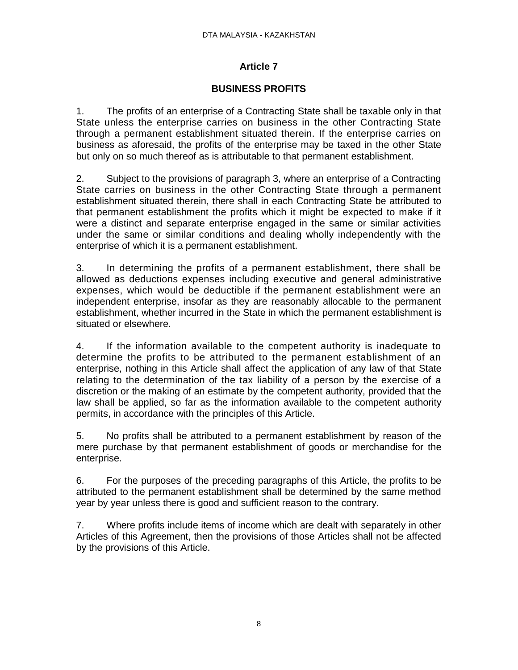# **BUSINESS PROFITS**

1. The profits of an enterprise of a Contracting State shall be taxable only in that State unless the enterprise carries on business in the other Contracting State through a permanent establishment situated therein. If the enterprise carries on business as aforesaid, the profits of the enterprise may be taxed in the other State but only on so much thereof as is attributable to that permanent establishment.

2. Subject to the provisions of paragraph 3, where an enterprise of a Contracting State carries on business in the other Contracting State through a permanent establishment situated therein, there shall in each Contracting State be attributed to that permanent establishment the profits which it might be expected to make if it were a distinct and separate enterprise engaged in the same or similar activities under the same or similar conditions and dealing wholly independently with the enterprise of which it is a permanent establishment.

3. In determining the profits of a permanent establishment, there shall be allowed as deductions expenses including executive and general administrative expenses, which would be deductible if the permanent establishment were an independent enterprise, insofar as they are reasonably allocable to the permanent establishment, whether incurred in the State in which the permanent establishment is situated or elsewhere.

4. If the information available to the competent authority is inadequate to determine the profits to be attributed to the permanent establishment of an enterprise, nothing in this Article shall affect the application of any law of that State relating to the determination of the tax liability of a person by the exercise of a discretion or the making of an estimate by the competent authority, provided that the law shall be applied, so far as the information available to the competent authority permits, in accordance with the principles of this Article.

5. No profits shall be attributed to a permanent establishment by reason of the mere purchase by that permanent establishment of goods or merchandise for the enterprise.

6. For the purposes of the preceding paragraphs of this Article, the profits to be attributed to the permanent establishment shall be determined by the same method year by year unless there is good and sufficient reason to the contrary.

7. Where profits include items of income which are dealt with separately in other Articles of this Agreement, then the provisions of those Articles shall not be affected by the provisions of this Article.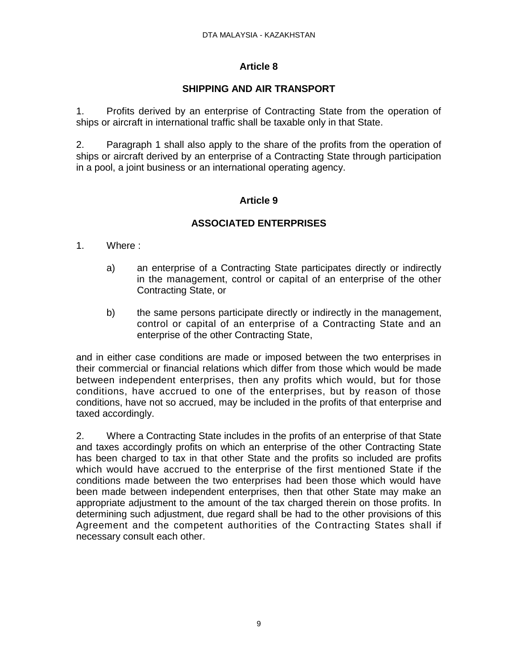# **SHIPPING AND AIR TRANSPORT**

1. Profits derived by an enterprise of Contracting State from the operation of ships or aircraft in international traffic shall be taxable only in that State.

2. Paragraph 1 shall also apply to the share of the profits from the operation of ships or aircraft derived by an enterprise of a Contracting State through participation in a pool, a joint business or an international operating agency.

# **Article 9**

# **ASSOCIATED ENTERPRISES**

- 1. Where :
	- a) an enterprise of a Contracting State participates directly or indirectly in the management, control or capital of an enterprise of the other Contracting State, or
	- b) the same persons participate directly or indirectly in the management, control or capital of an enterprise of a Contracting State and an enterprise of the other Contracting State,

and in either case conditions are made or imposed between the two enterprises in their commercial or financial relations which differ from those which would be made between independent enterprises, then any profits which would, but for those conditions, have accrued to one of the enterprises, but by reason of those conditions, have not so accrued, may be included in the profits of that enterprise and taxed accordingly.

2. Where a Contracting State includes in the profits of an enterprise of that State and taxes accordingly profits on which an enterprise of the other Contracting State has been charged to tax in that other State and the profits so included are profits which would have accrued to the enterprise of the first mentioned State if the conditions made between the two enterprises had been those which would have been made between independent enterprises, then that other State may make an appropriate adjustment to the amount of the tax charged therein on those profits. In determining such adjustment, due regard shall be had to the other provisions of this Agreement and the competent authorities of the Contracting States shall if necessary consult each other.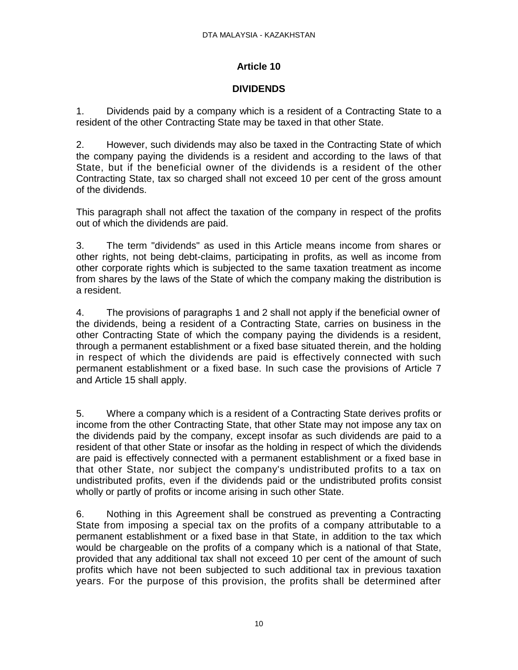### **DIVIDENDS**

1. Dividends paid by a company which is a resident of a Contracting State to a resident of the other Contracting State may be taxed in that other State.

2. However, such dividends may also be taxed in the Contracting State of which the company paying the dividends is a resident and according to the laws of that State, but if the beneficial owner of the dividends is a resident of the other Contracting State, tax so charged shall not exceed 10 per cent of the gross amount of the dividends.

This paragraph shall not affect the taxation of the company in respect of the profits out of which the dividends are paid.

3. The term "dividends" as used in this Article means income from shares or other rights, not being debt-claims, participating in profits, as well as income from other corporate rights which is subjected to the same taxation treatment as income from shares by the laws of the State of which the company making the distribution is a resident.

4. The provisions of paragraphs 1 and 2 shall not apply if the beneficial owner of the dividends, being a resident of a Contracting State, carries on business in the other Contracting State of which the company paying the dividends is a resident, through a permanent establishment or a fixed base situated therein, and the holding in respect of which the dividends are paid is effectively connected with such permanent establishment or a fixed base. In such case the provisions of Article 7 and Article 15 shall apply.

5. Where a company which is a resident of a Contracting State derives profits or income from the other Contracting State, that other State may not impose any tax on the dividends paid by the company, except insofar as such dividends are paid to a resident of that other State or insofar as the holding in respect of which the dividends are paid is effectively connected with a permanent establishment or a fixed base in that other State, nor subject the company's undistributed profits to a tax on undistributed profits, even if the dividends paid or the undistributed profits consist wholly or partly of profits or income arising in such other State.

6. Nothing in this Agreement shall be construed as preventing a Contracting State from imposing a special tax on the profits of a company attributable to a permanent establishment or a fixed base in that State, in addition to the tax which would be chargeable on the profits of a company which is a national of that State, provided that any additional tax shall not exceed 10 per cent of the amount of such profits which have not been subjected to such additional tax in previous taxation years. For the purpose of this provision, the profits shall be determined after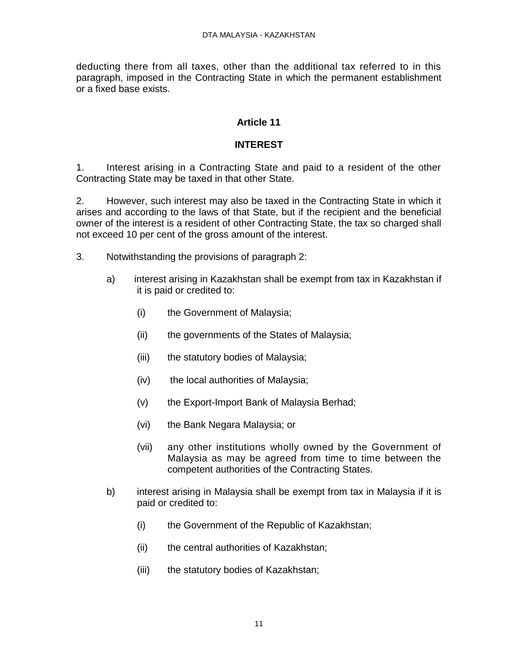deducting there from all taxes, other than the additional tax referred to in this paragraph, imposed in the Contracting State in which the permanent establishment or a fixed base exists.

# **Article 11**

# **INTEREST**

1. Interest arising in a Contracting State and paid to a resident of the other Contracting State may be taxed in that other State.

2. However, such interest may also be taxed in the Contracting State in which it arises and according to the laws of that State, but if the recipient and the beneficial owner of the interest is a resident of other Contracting State, the tax so charged shall not exceed 10 per cent of the gross amount of the interest.

- 3. Notwithstanding the provisions of paragraph 2:
	- a) interest arising in Kazakhstan shall be exempt from tax in Kazakhstan if it is paid or credited to:
		- (i) the Government of Malaysia;
		- (ii) the governments of the States of Malaysia;
		- (iii) the statutory bodies of Malaysia;
		- (iv) the local authorities of Malaysia;
		- (v) the Export-Import Bank of Malaysia Berhad;
		- (vi) the Bank Negara Malaysia; or
		- (vii) any other institutions wholly owned by the Government of Malaysia as may be agreed from time to time between the competent authorities of the Contracting States.
	- b) interest arising in Malaysia shall be exempt from tax in Malaysia if it is paid or credited to:
		- (i) the Government of the Republic of Kazakhstan;
		- (ii) the central authorities of Kazakhstan;
		- (iii) the statutory bodies of Kazakhstan;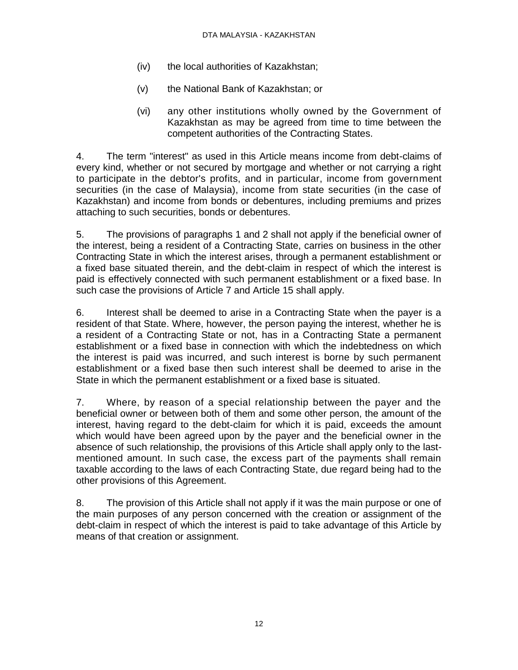- (iv) the local authorities of Kazakhstan;
- (v) the National Bank of Kazakhstan; or
- (vi) any other institutions wholly owned by the Government of Kazakhstan as may be agreed from time to time between the competent authorities of the Contracting States.

4. The term "interest" as used in this Article means income from debt-claims of every kind, whether or not secured by mortgage and whether or not carrying a right to participate in the debtor's profits, and in particular, income from government securities (in the case of Malaysia), income from state securities (in the case of Kazakhstan) and income from bonds or debentures, including premiums and prizes attaching to such securities, bonds or debentures.

5. The provisions of paragraphs 1 and 2 shall not apply if the beneficial owner of the interest, being a resident of a Contracting State, carries on business in the other Contracting State in which the interest arises, through a permanent establishment or a fixed base situated therein, and the debt-claim in respect of which the interest is paid is effectively connected with such permanent establishment or a fixed base. In such case the provisions of Article 7 and Article 15 shall apply.

6. Interest shall be deemed to arise in a Contracting State when the payer is a resident of that State. Where, however, the person paying the interest, whether he is a resident of a Contracting State or not, has in a Contracting State a permanent establishment or a fixed base in connection with which the indebtedness on which the interest is paid was incurred, and such interest is borne by such permanent establishment or a fixed base then such interest shall be deemed to arise in the State in which the permanent establishment or a fixed base is situated.

7. Where, by reason of a special relationship between the payer and the beneficial owner or between both of them and some other person, the amount of the interest, having regard to the debt-claim for which it is paid, exceeds the amount which would have been agreed upon by the payer and the beneficial owner in the absence of such relationship, the provisions of this Article shall apply only to the lastmentioned amount. In such case, the excess part of the payments shall remain taxable according to the laws of each Contracting State, due regard being had to the other provisions of this Agreement.

8. The provision of this Article shall not apply if it was the main purpose or one of the main purposes of any person concerned with the creation or assignment of the debt-claim in respect of which the interest is paid to take advantage of this Article by means of that creation or assignment.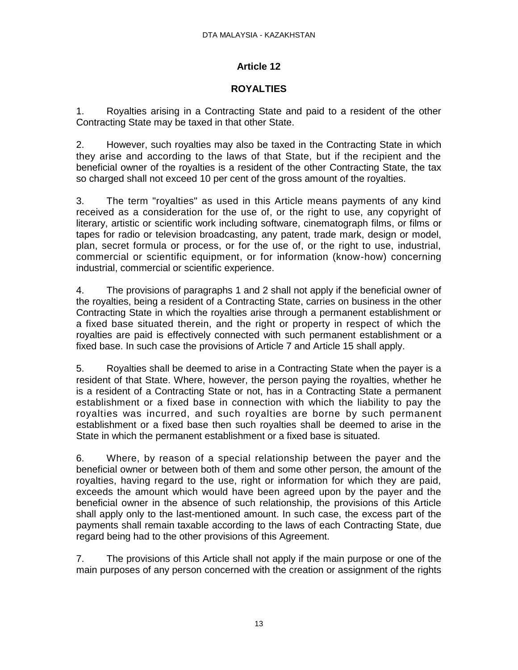### **ROYALTIES**

1. Royalties arising in a Contracting State and paid to a resident of the other Contracting State may be taxed in that other State.

2. However, such royalties may also be taxed in the Contracting State in which they arise and according to the laws of that State, but if the recipient and the beneficial owner of the royalties is a resident of the other Contracting State, the tax so charged shall not exceed 10 per cent of the gross amount of the royalties.

3. The term "royalties" as used in this Article means payments of any kind received as a consideration for the use of, or the right to use, any copyright of literary, artistic or scientific work including software, cinematograph films, or films or tapes for radio or television broadcasting, any patent, trade mark, design or model, plan, secret formula or process, or for the use of, or the right to use, industrial, commercial or scientific equipment, or for information (know-how) concerning industrial, commercial or scientific experience.

4. The provisions of paragraphs 1 and 2 shall not apply if the beneficial owner of the royalties, being a resident of a Contracting State, carries on business in the other Contracting State in which the royalties arise through a permanent establishment or a fixed base situated therein, and the right or property in respect of which the royalties are paid is effectively connected with such permanent establishment or a fixed base. In such case the provisions of Article 7 and Article 15 shall apply.

5. Royalties shall be deemed to arise in a Contracting State when the payer is a resident of that State. Where, however, the person paying the royalties, whether he is a resident of a Contracting State or not, has in a Contracting State a permanent establishment or a fixed base in connection with which the liability to pay the royalties was incurred, and such royalties are borne by such permanent establishment or a fixed base then such royalties shall be deemed to arise in the State in which the permanent establishment or a fixed base is situated.

6. Where, by reason of a special relationship between the payer and the beneficial owner or between both of them and some other person, the amount of the royalties, having regard to the use, right or information for which they are paid, exceeds the amount which would have been agreed upon by the payer and the beneficial owner in the absence of such relationship, the provisions of this Article shall apply only to the last-mentioned amount. In such case, the excess part of the payments shall remain taxable according to the laws of each Contracting State, due regard being had to the other provisions of this Agreement.

7. The provisions of this Article shall not apply if the main purpose or one of the main purposes of any person concerned with the creation or assignment of the rights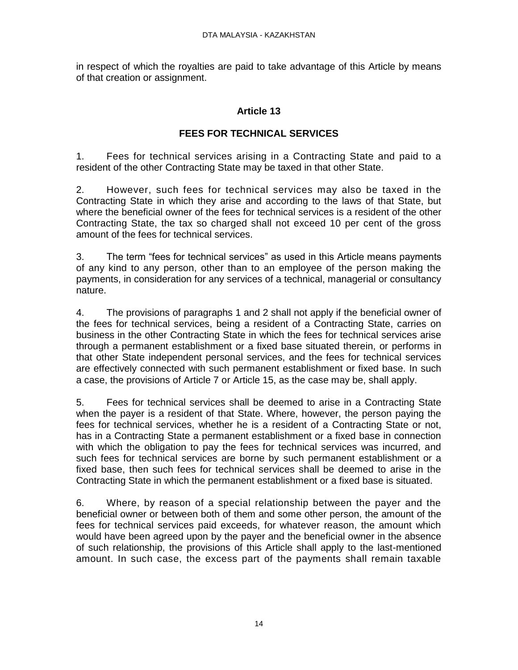in respect of which the royalties are paid to take advantage of this Article by means of that creation or assignment.

# **Article 13**

# **FEES FOR TECHNICAL SERVICES**

1. Fees for technical services arising in a Contracting State and paid to a resident of the other Contracting State may be taxed in that other State.

2. However, such fees for technical services may also be taxed in the Contracting State in which they arise and according to the laws of that State, but where the beneficial owner of the fees for technical services is a resident of the other Contracting State, the tax so charged shall not exceed 10 per cent of the gross amount of the fees for technical services.

3. The term "fees for technical services" as used in this Article means payments of any kind to any person, other than to an employee of the person making the payments, in consideration for any services of a technical, managerial or consultancy nature.

4. The provisions of paragraphs 1 and 2 shall not apply if the beneficial owner of the fees for technical services, being a resident of a Contracting State, carries on business in the other Contracting State in which the fees for technical services arise through a permanent establishment or a fixed base situated therein, or performs in that other State independent personal services, and the fees for technical services are effectively connected with such permanent establishment or fixed base. In such a case, the provisions of Article 7 or Article 15, as the case may be, shall apply.

5. Fees for technical services shall be deemed to arise in a Contracting State when the payer is a resident of that State. Where, however, the person paying the fees for technical services, whether he is a resident of a Contracting State or not, has in a Contracting State a permanent establishment or a fixed base in connection with which the obligation to pay the fees for technical services was incurred, and such fees for technical services are borne by such permanent establishment or a fixed base, then such fees for technical services shall be deemed to arise in the Contracting State in which the permanent establishment or a fixed base is situated.

6. Where, by reason of a special relationship between the payer and the beneficial owner or between both of them and some other person, the amount of the fees for technical services paid exceeds, for whatever reason, the amount which would have been agreed upon by the payer and the beneficial owner in the absence of such relationship, the provisions of this Article shall apply to the last-mentioned amount. In such case, the excess part of the payments shall remain taxable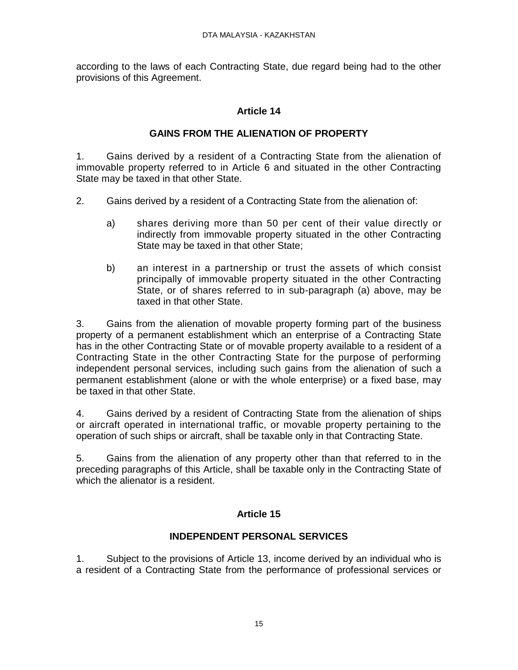according to the laws of each Contracting State, due regard being had to the other provisions of this Agreement.

# **Article 14**

### **GAINS FROM THE ALIENATION OF PROPERTY**

1. Gains derived by a resident of a Contracting State from the alienation of immovable property referred to in Article 6 and situated in the other Contracting State may be taxed in that other State.

- 2. Gains derived by a resident of a Contracting State from the alienation of:
	- a) shares deriving more than 50 per cent of their value directly or indirectly from immovable property situated in the other Contracting State may be taxed in that other State;
	- b) an interest in a partnership or trust the assets of which consist principally of immovable property situated in the other Contracting State, or of shares referred to in sub-paragraph (a) above, may be taxed in that other State.

3. Gains from the alienation of movable property forming part of the business property of a permanent establishment which an enterprise of a Contracting State has in the other Contracting State or of movable property available to a resident of a Contracting State in the other Contracting State for the purpose of performing independent personal services, including such gains from the alienation of such a permanent establishment (alone or with the whole enterprise) or a fixed base, may be taxed in that other State.

4. Gains derived by a resident of Contracting State from the alienation of ships or aircraft operated in international traffic, or movable property pertaining to the operation of such ships or aircraft, shall be taxable only in that Contracting State.

5. Gains from the alienation of any property other than that referred to in the preceding paragraphs of this Article, shall be taxable only in the Contracting State of which the alienator is a resident.

### **Article 15**

### **INDEPENDENT PERSONAL SERVICES**

1. Subject to the provisions of Article 13, income derived by an individual who is a resident of a Contracting State from the performance of professional services or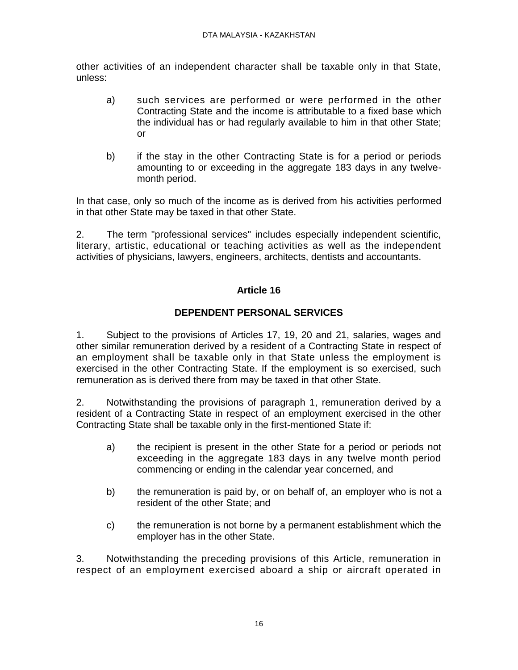other activities of an independent character shall be taxable only in that State, unless:

- a) such services are performed or were performed in the other Contracting State and the income is attributable to a fixed base which the individual has or had regularly available to him in that other State; or
- b) if the stay in the other Contracting State is for a period or periods amounting to or exceeding in the aggregate 183 days in any twelvemonth period.

In that case, only so much of the income as is derived from his activities performed in that other State may be taxed in that other State.

2. The term "professional services" includes especially independent scientific, literary, artistic, educational or teaching activities as well as the independent activities of physicians, lawyers, engineers, architects, dentists and accountants.

### **Article 16**

### **DEPENDENT PERSONAL SERVICES**

1. Subject to the provisions of Articles 17, 19, 20 and 21, salaries, wages and other similar remuneration derived by a resident of a Contracting State in respect of an employment shall be taxable only in that State unless the employment is exercised in the other Contracting State. If the employment is so exercised, such remuneration as is derived there from may be taxed in that other State.

2. Notwithstanding the provisions of paragraph 1, remuneration derived by a resident of a Contracting State in respect of an employment exercised in the other Contracting State shall be taxable only in the first-mentioned State if:

- a) the recipient is present in the other State for a period or periods not exceeding in the aggregate 183 days in any twelve month period commencing or ending in the calendar year concerned, and
- b) the remuneration is paid by, or on behalf of, an employer who is not a resident of the other State; and
- c) the remuneration is not borne by a permanent establishment which the employer has in the other State.

3. Notwithstanding the preceding provisions of this Article, remuneration in respect of an employment exercised aboard a ship or aircraft operated in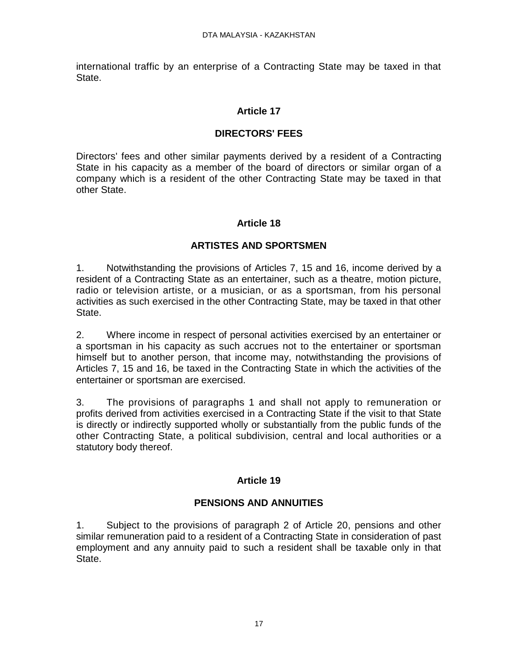international traffic by an enterprise of a Contracting State may be taxed in that State.

### **Article 17**

#### **DIRECTORS' FEES**

Directors' fees and other similar payments derived by a resident of a Contracting State in his capacity as a member of the board of directors or similar organ of a company which is a resident of the other Contracting State may be taxed in that other State.

### **Article 18**

### **ARTISTES AND SPORTSMEN**

1. Notwithstanding the provisions of Articles 7, 15 and 16, income derived by a resident of a Contracting State as an entertainer, such as a theatre, motion picture, radio or television artiste, or a musician, or as a sportsman, from his personal activities as such exercised in the other Contracting State, may be taxed in that other State.

2. Where income in respect of personal activities exercised by an entertainer or a sportsman in his capacity as such accrues not to the entertainer or sportsman himself but to another person, that income may, notwithstanding the provisions of Articles 7, 15 and 16, be taxed in the Contracting State in which the activities of the entertainer or sportsman are exercised.

3. The provisions of paragraphs 1 and shall not apply to remuneration or profits derived from activities exercised in a Contracting State if the visit to that State is directly or indirectly supported wholly or substantially from the public funds of the other Contracting State, a political subdivision, central and local authorities or a statutory body thereof.

### **Article 19**

# **PENSIONS AND ANNUITIES**

1. Subject to the provisions of paragraph 2 of Article 20, pensions and other similar remuneration paid to a resident of a Contracting State in consideration of past employment and any annuity paid to such a resident shall be taxable only in that State.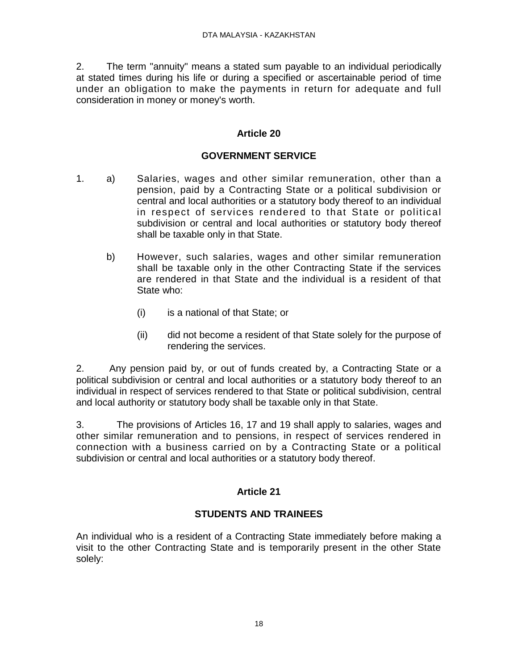2. The term "annuity" means a stated sum payable to an individual periodically at stated times during his life or during a specified or ascertainable period of time under an obligation to make the payments in return for adequate and full consideration in money or money's worth.

#### **Article 20**

#### **GOVERNMENT SERVICE**

- 1. a) Salaries, wages and other similar remuneration, other than a pension, paid by a Contracting State or a political subdivision or central and local authorities or a statutory body thereof to an individual in respect of services rendered to that State or political subdivision or central and local authorities or statutory body thereof shall be taxable only in that State.
	- b) However, such salaries, wages and other similar remuneration shall be taxable only in the other Contracting State if the services are rendered in that State and the individual is a resident of that State who:
		- (i) is a national of that State; or
		- (ii) did not become a resident of that State solely for the purpose of rendering the services.

2. Any pension paid by, or out of funds created by, a Contracting State or a political subdivision or central and local authorities or a statutory body thereof to an individual in respect of services rendered to that State or political subdivision, central and local authority or statutory body shall be taxable only in that State.

3. The provisions of Articles 16, 17 and 19 shall apply to salaries, wages and other similar remuneration and to pensions, in respect of services rendered in connection with a business carried on by a Contracting State or a political subdivision or central and local authorities or a statutory body thereof.

# **Article 21**

### **STUDENTS AND TRAINEES**

An individual who is a resident of a Contracting State immediately before making a visit to the other Contracting State and is temporarily present in the other State solely: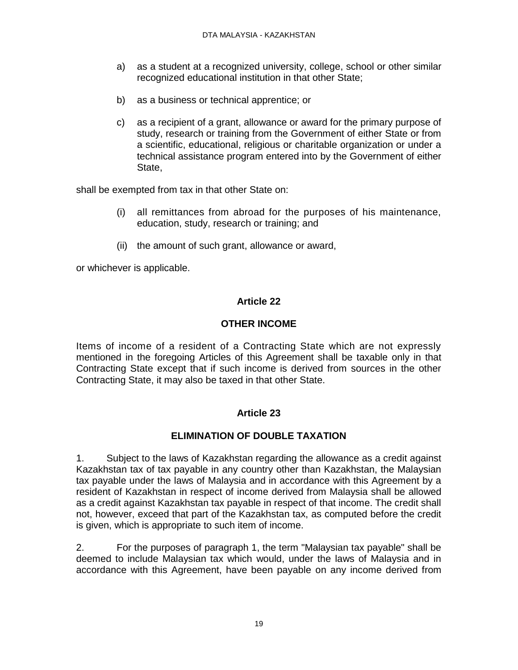- a) as a student at a recognized university, college, school or other similar recognized educational institution in that other State;
- b) as a business or technical apprentice; or
- c) as a recipient of a grant, allowance or award for the primary purpose of study, research or training from the Government of either State or from a scientific, educational, religious or charitable organization or under a technical assistance program entered into by the Government of either State,

shall be exempted from tax in that other State on:

- (i) all remittances from abroad for the purposes of his maintenance, education, study, research or training; and
- (ii) the amount of such grant, allowance or award,

or whichever is applicable.

### **Article 22**

### **OTHER INCOME**

Items of income of a resident of a Contracting State which are not expressly mentioned in the foregoing Articles of this Agreement shall be taxable only in that Contracting State except that if such income is derived from sources in the other Contracting State, it may also be taxed in that other State.

### **Article 23**

### **ELIMINATION OF DOUBLE TAXATION**

1. Subject to the laws of Kazakhstan regarding the allowance as a credit against Kazakhstan tax of tax payable in any country other than Kazakhstan, the Malaysian tax payable under the laws of Malaysia and in accordance with this Agreement by a resident of Kazakhstan in respect of income derived from Malaysia shall be allowed as a credit against Kazakhstan tax payable in respect of that income. The credit shall not, however, exceed that part of the Kazakhstan tax, as computed before the credit is given, which is appropriate to such item of income.

2. For the purposes of paragraph 1, the term "Malaysian tax payable" shall be deemed to include Malaysian tax which would, under the laws of Malaysia and in accordance with this Agreement, have been payable on any income derived from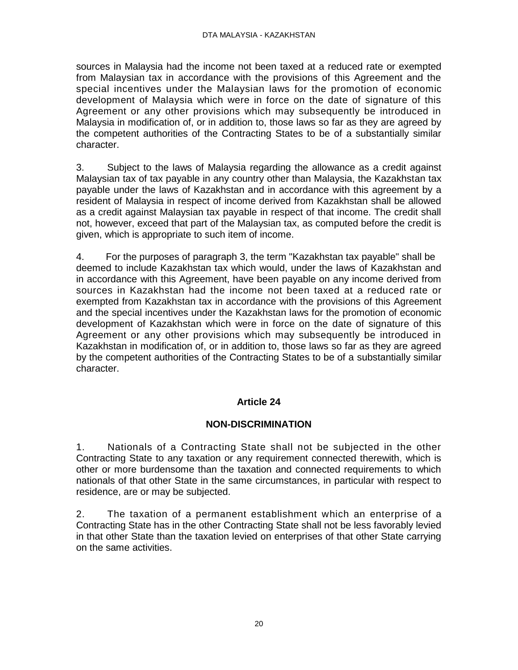sources in Malaysia had the income not been taxed at a reduced rate or exempted from Malaysian tax in accordance with the provisions of this Agreement and the special incentives under the Malaysian laws for the promotion of economic development of Malaysia which were in force on the date of signature of this Agreement or any other provisions which may subsequently be introduced in Malaysia in modification of, or in addition to, those laws so far as they are agreed by the competent authorities of the Contracting States to be of a substantially similar character.

3. Subject to the laws of Malaysia regarding the allowance as a credit against Malaysian tax of tax payable in any country other than Malaysia, the Kazakhstan tax payable under the laws of Kazakhstan and in accordance with this agreement by a resident of Malaysia in respect of income derived from Kazakhstan shall be allowed as a credit against Malaysian tax payable in respect of that income. The credit shall not, however, exceed that part of the Malaysian tax, as computed before the credit is given, which is appropriate to such item of income.

4. For the purposes of paragraph 3, the term "Kazakhstan tax payable" shall be deemed to include Kazakhstan tax which would, under the laws of Kazakhstan and in accordance with this Agreement, have been payable on any income derived from sources in Kazakhstan had the income not been taxed at a reduced rate or exempted from Kazakhstan tax in accordance with the provisions of this Agreement and the special incentives under the Kazakhstan laws for the promotion of economic development of Kazakhstan which were in force on the date of signature of this Agreement or any other provisions which may subsequently be introduced in Kazakhstan in modification of, or in addition to, those laws so far as they are agreed by the competent authorities of the Contracting States to be of a substantially similar character.

### **Article 24**

### **NON-DISCRIMINATION**

1. Nationals of a Contracting State shall not be subjected in the other Contracting State to any taxation or any requirement connected therewith, which is other or more burdensome than the taxation and connected requirements to which nationals of that other State in the same circumstances, in particular with respect to residence, are or may be subjected.

2. The taxation of a permanent establishment which an enterprise of a Contracting State has in the other Contracting State shall not be less favorably levied in that other State than the taxation levied on enterprises of that other State carrying on the same activities.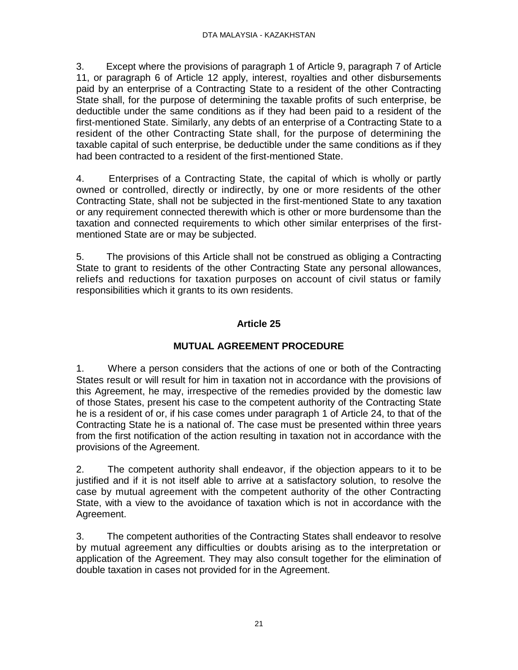3. Except where the provisions of paragraph 1 of Article 9, paragraph 7 of Article 11, or paragraph 6 of Article 12 apply, interest, royalties and other disbursements paid by an enterprise of a Contracting State to a resident of the other Contracting State shall, for the purpose of determining the taxable profits of such enterprise, be deductible under the same conditions as if they had been paid to a resident of the first-mentioned State. Similarly, any debts of an enterprise of a Contracting State to a resident of the other Contracting State shall, for the purpose of determining the taxable capital of such enterprise, be deductible under the same conditions as if they had been contracted to a resident of the first-mentioned State.

4. Enterprises of a Contracting State, the capital of which is wholly or partly owned or controlled, directly or indirectly, by one or more residents of the other Contracting State, shall not be subjected in the first-mentioned State to any taxation or any requirement connected therewith which is other or more burdensome than the taxation and connected requirements to which other similar enterprises of the firstmentioned State are or may be subjected.

5. The provisions of this Article shall not be construed as obliging a Contracting State to grant to residents of the other Contracting State any personal allowances, reliefs and reductions for taxation purposes on account of civil status or family responsibilities which it grants to its own residents.

# **Article 25**

### **MUTUAL AGREEMENT PROCEDURE**

1. Where a person considers that the actions of one or both of the Contracting States result or will result for him in taxation not in accordance with the provisions of this Agreement, he may, irrespective of the remedies provided by the domestic law of those States, present his case to the competent authority of the Contracting State he is a resident of or, if his case comes under paragraph 1 of Article 24, to that of the Contracting State he is a national of. The case must be presented within three years from the first notification of the action resulting in taxation not in accordance with the provisions of the Agreement.

2. The competent authority shall endeavor, if the objection appears to it to be justified and if it is not itself able to arrive at a satisfactory solution, to resolve the case by mutual agreement with the competent authority of the other Contracting State, with a view to the avoidance of taxation which is not in accordance with the Agreement.

3. The competent authorities of the Contracting States shall endeavor to resolve by mutual agreement any difficulties or doubts arising as to the interpretation or application of the Agreement. They may also consult together for the elimination of double taxation in cases not provided for in the Agreement.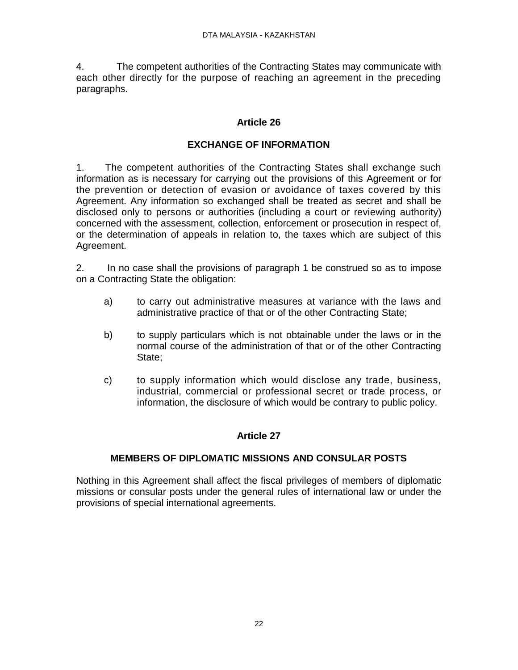4. The competent authorities of the Contracting States may communicate with each other directly for the purpose of reaching an agreement in the preceding paragraphs.

### **Article 26**

# **EXCHANGE OF INFORMATION**

1. The competent authorities of the Contracting States shall exchange such information as is necessary for carrying out the provisions of this Agreement or for the prevention or detection of evasion or avoidance of taxes covered by this Agreement. Any information so exchanged shall be treated as secret and shall be disclosed only to persons or authorities (including a court or reviewing authority) concerned with the assessment, collection, enforcement or prosecution in respect of, or the determination of appeals in relation to, the taxes which are subject of this Agreement.

2. In no case shall the provisions of paragraph 1 be construed so as to impose on a Contracting State the obligation:

- a) to carry out administrative measures at variance with the laws and administrative practice of that or of the other Contracting State;
- b) to supply particulars which is not obtainable under the laws or in the normal course of the administration of that or of the other Contracting State;
- c) to supply information which would disclose any trade, business, industrial, commercial or professional secret or trade process, or information, the disclosure of which would be contrary to public policy.

# **Article 27**

### **MEMBERS OF DIPLOMATIC MISSIONS AND CONSULAR POSTS**

Nothing in this Agreement shall affect the fiscal privileges of members of diplomatic missions or consular posts under the general rules of international law or under the provisions of special international agreements.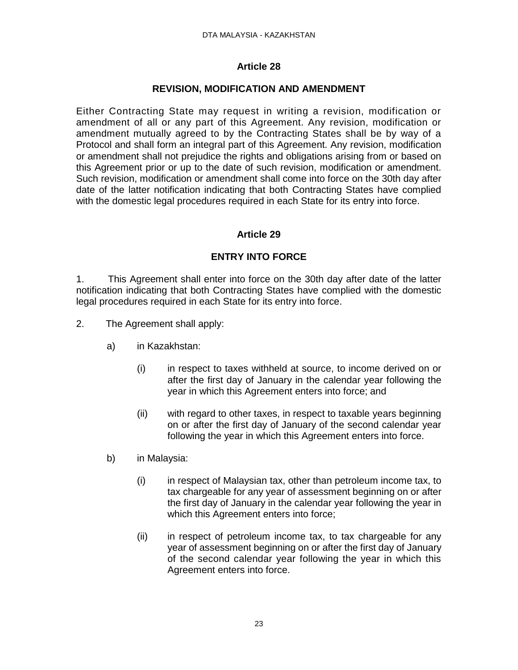### **REVISION, MODIFICATION AND AMENDMENT**

Either Contracting State may request in writing a revision, modification or amendment of all or any part of this Agreement. Any revision, modification or amendment mutually agreed to by the Contracting States shall be by way of a Protocol and shall form an integral part of this Agreement. Any revision, modification or amendment shall not prejudice the rights and obligations arising from or based on this Agreement prior or up to the date of such revision, modification or amendment. Such revision, modification or amendment shall come into force on the 30th day after date of the latter notification indicating that both Contracting States have complied with the domestic legal procedures required in each State for its entry into force.

# **Article 29**

# **ENTRY INTO FORCE**

1. This Agreement shall enter into force on the 30th day after date of the latter notification indicating that both Contracting States have complied with the domestic legal procedures required in each State for its entry into force.

- 2. The Agreement shall apply:
	- a) in Kazakhstan:
		- (i) in respect to taxes withheld at source, to income derived on or after the first day of January in the calendar year following the year in which this Agreement enters into force; and
		- (ii) with regard to other taxes, in respect to taxable years beginning on or after the first day of January of the second calendar year following the year in which this Agreement enters into force.
	- b) in Malaysia:
		- (i) in respect of Malaysian tax, other than petroleum income tax, to tax chargeable for any year of assessment beginning on or after the first day of January in the calendar year following the year in which this Agreement enters into force;
		- (ii) in respect of petroleum income tax, to tax chargeable for any year of assessment beginning on or after the first day of January of the second calendar year following the year in which this Agreement enters into force.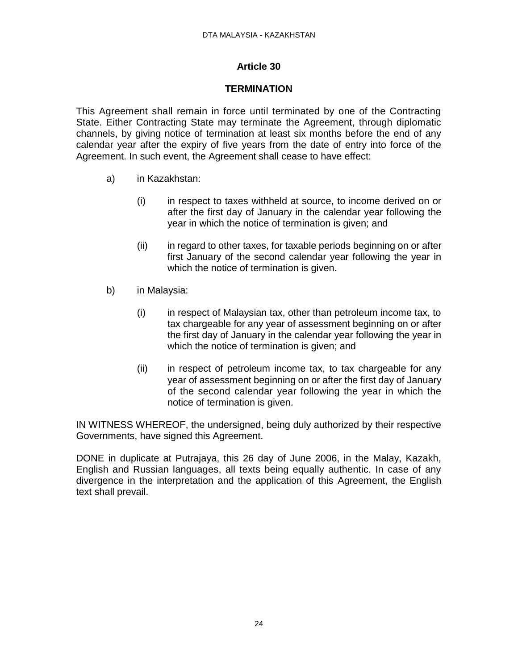### **TERMINATION**

This Agreement shall remain in force until terminated by one of the Contracting State. Either Contracting State may terminate the Agreement, through diplomatic channels, by giving notice of termination at least six months before the end of any calendar year after the expiry of five years from the date of entry into force of the Agreement. In such event, the Agreement shall cease to have effect:

- a) in Kazakhstan:
	- (i) in respect to taxes withheld at source, to income derived on or after the first day of January in the calendar year following the year in which the notice of termination is given; and
	- (ii) in regard to other taxes, for taxable periods beginning on or after first January of the second calendar year following the year in which the notice of termination is given.
- b) in Malaysia:
	- (i) in respect of Malaysian tax, other than petroleum income tax, to tax chargeable for any year of assessment beginning on or after the first day of January in the calendar year following the year in which the notice of termination is given; and
	- (ii) in respect of petroleum income tax, to tax chargeable for any year of assessment beginning on or after the first day of January of the second calendar year following the year in which the notice of termination is given.

IN WITNESS WHEREOF, the undersigned, being duly authorized by their respective Governments, have signed this Agreement.

DONE in duplicate at Putrajaya, this 26 day of June 2006, in the Malay, Kazakh, English and Russian languages, all texts being equally authentic. In case of any divergence in the interpretation and the application of this Agreement, the English text shall prevail.